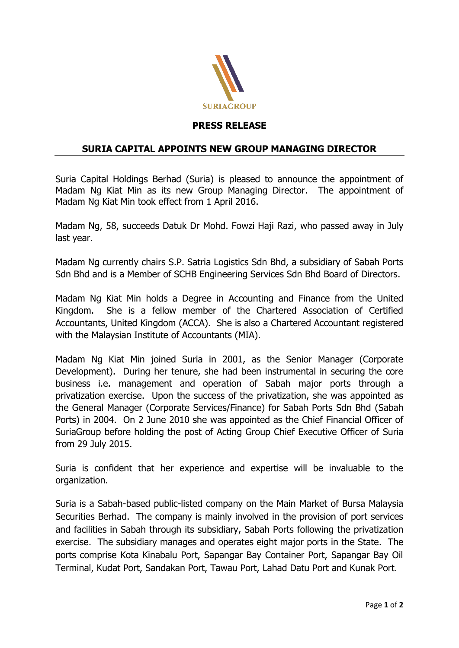

## **PRESS RELEASE**

## **SURIA CAPITAL APPOINTS NEW GROUP MANAGING DIRECTOR**

Suria Capital Holdings Berhad (Suria) is pleased to announce the appointment of Madam Ng Kiat Min as its new Group Managing Director. The appointment of Madam Ng Kiat Min took effect from 1 April 2016.

Madam Ng, 58, succeeds Datuk Dr Mohd. Fowzi Haji Razi, who passed away in July last year.

Madam Ng currently chairs S.P. Satria Logistics Sdn Bhd, a subsidiary of Sabah Ports Sdn Bhd and is a Member of SCHB Engineering Services Sdn Bhd Board of Directors.

Madam Ng Kiat Min holds a Degree in Accounting and Finance from the United Kingdom. She is a fellow member of the Chartered Association of Certified Accountants, United Kingdom (ACCA). She is also a Chartered Accountant registered with the Malaysian Institute of Accountants (MIA).

Madam Ng Kiat Min joined Suria in 2001, as the Senior Manager (Corporate Development). During her tenure, she had been instrumental in securing the core business i.e. management and operation of Sabah major ports through a privatization exercise. Upon the success of the privatization, she was appointed as the General Manager (Corporate Services/Finance) for Sabah Ports Sdn Bhd (Sabah Ports) in 2004. On 2 June 2010 she was appointed as the Chief Financial Officer of SuriaGroup before holding the post of Acting Group Chief Executive Officer of Suria from 29 July 2015.

Suria is confident that her experience and expertise will be invaluable to the organization.

Suria is a Sabah-based public-listed company on the Main Market of Bursa Malaysia Securities Berhad. The company is mainly involved in the provision of port services and facilities in Sabah through its subsidiary, Sabah Ports following the privatization exercise. The subsidiary manages and operates eight major ports in the State. The ports comprise Kota Kinabalu Port, Sapangar Bay Container Port, Sapangar Bay Oil Terminal, Kudat Port, Sandakan Port, Tawau Port, Lahad Datu Port and Kunak Port.